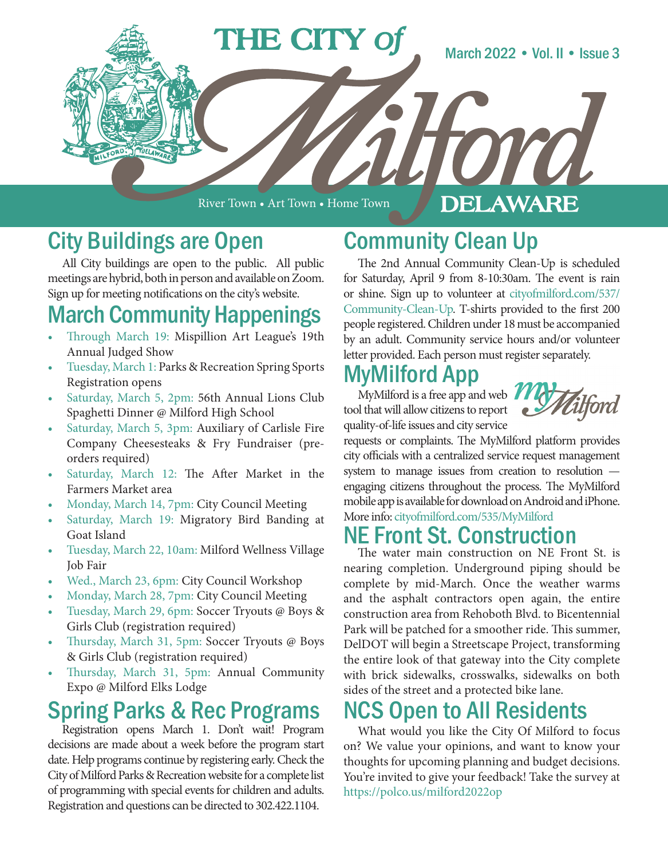

River Town • Art Town • Home Town

#### DELAWARE

#### City Buildings are Open

All City buildings are open to the public. All public meetings are hybrid, both in person and available on Zoom. Sign up for meeting notifications on the city's website.

### March Community Happenings

- Through March 19: Mispillion Art League's 19th Annual Judged Show
- Tuesday, March 1: Parks & Recreation Spring Sports Registration opens
- Saturday, March 5, 2pm: 56th Annual Lions Club Spaghetti Dinner @ Milford High School
- Saturday, March 5, 3pm: Auxiliary of Carlisle Fire Company Cheesesteaks & Fry Fundraiser (preorders required)
- Saturday, March 12: The After Market in the Farmers Market area
- Monday, March 14, 7pm: City Council Meeting
- Saturday, March 19: Migratory Bird Banding at Goat Island
- Tuesday, March 22, 10am: Milford Wellness Village Job Fair
- Wed., March 23, 6pm: City Council Workshop
- Monday, March 28, 7pm: City Council Meeting
- Tuesday, March 29, 6pm: Soccer Tryouts @ Boys & Girls Club (registration required)
- Thursday, March 31, 5pm: Soccer Tryouts @ Boys & Girls Club (registration required)
- Thursday, March 31, 5pm: Annual Community Expo @ Milford Elks Lodge

#### Spring Parks & Rec Programs

Registration opens March 1. Don't wait! Program decisions are made about a week before the program start date. Help programs continue by registering early. Check the City of Milford Parks & Recreation website for a complete list of programming with special events for children and adults. Registration and questions can be directed to 302.422.1104.

## Community Clean Up

The 2nd Annual Community Clean-Up is scheduled for Saturday, April 9 from 8-10:30am. The event is rain or shine. Sign up to volunteer at cityofmilford.com/537/ Community-Clean-Up. T-shirts provided to the first 200 people registered. Children under 18 must be accompanied by an adult. Community service hours and/or volunteer letter provided. Each person must register separately.

# MyMilford App

MyMilford is a free app and web  $\blacksquare$ tool that will allow citizens to report quality-of-life issues and city service



requests or complaints. The MyMilford platform provides city officials with a centralized service request management system to manage issues from creation to resolution engaging citizens throughout the process. The MyMilford mobile app is available for download on Android and iPhone. More info: cityofmilford.com/535/MyMilford

#### NE Front St. Construction

The water main construction on NE Front St. is nearing completion. Underground piping should be complete by mid-March. Once the weather warms and the asphalt contractors open again, the entire construction area from Rehoboth Blvd. to Bicentennial Park will be patched for a smoother ride. This summer, DelDOT will begin a Streetscape Project, transforming the entire look of that gateway into the City complete with brick sidewalks, crosswalks, sidewalks on both sides of the street and a protected bike lane.

#### CS Open to All Residents

What would you like the City Of Milford to focus on? We value your opinions, and want to know your thoughts for upcoming planning and budget decisions. You're invited to give your feedback! Take the survey at https://polco.us/milford2022op